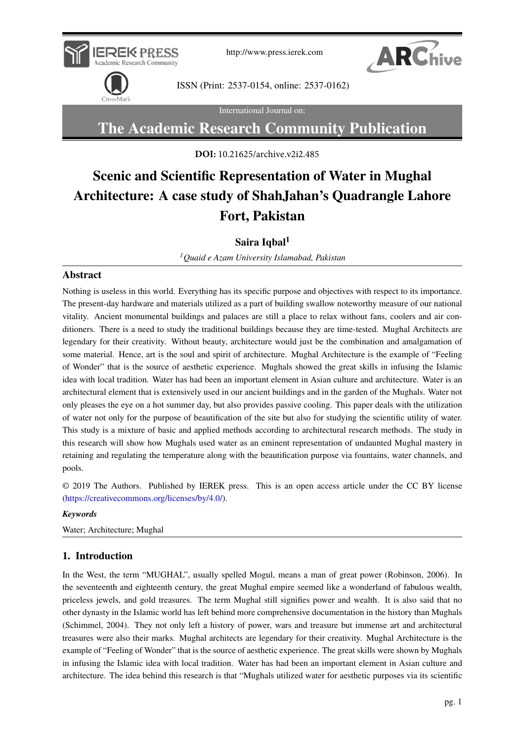

http://www.press.ierek.com



ISSN (Print: 2537-0154, online: 2537-0162)



International Journal on:

The Academic Research Community Publication

**DOI:** 10.21625/archive.v2i2.485

# Scenic and Scientific Representation of Water in Mughal Architecture: A case study of ShahJahan's Quadrangle Lahore Fort, Pakistan

# Saira Iqbal<sup>1</sup>

*<sup>1</sup>Quaid e Azam University Islamabad, Pakistan*

# Abstract

Nothing is useless in this world. Everything has its specific purpose and objectives with respect to its importance. The present-day hardware and materials utilized as a part of building swallow noteworthy measure of our national vitality. Ancient monumental buildings and palaces are still a place to relax without fans, coolers and air conditioners. There is a need to study the traditional buildings because they are time-tested. Mughal Architects are legendary for their creativity. Without beauty, architecture would just be the combination and amalgamation of some material. Hence, art is the soul and spirit of architecture. Mughal Architecture is the example of "Feeling of Wonder" that is the source of aesthetic experience. Mughals showed the great skills in infusing the Islamic idea with local tradition. Water has had been an important element in Asian culture and architecture. Water is an architectural element that is extensively used in our ancient buildings and in the garden of the Mughals. Water not only pleases the eye on a hot summer day, but also provides passive cooling. This paper deals with the utilization of water not only for the purpose of beautification of the site but also for studying the scientific utility of water. This study is a mixture of basic and applied methods according to architectural research methods. The study in this research will show how Mughals used water as an eminent representation of undaunted Mughal mastery in retaining and regulating the temperature along with the beautification purpose via fountains, water channels, and pools.

© 2019 The Authors. Published by IEREK press. This is an open access article under the CC BY license [\(https://creativecommons.org/licenses/by/4.0/\)](https://creativecommons.org/licenses/by/4.0/).

## *Keywords*

Water; Architecture; Mughal

# 1. Introduction

In the West, the term "MUGHAL", usually spelled Mogul, means a man of great power (Robinson, 2006). In the seventeenth and eighteenth century, the great Mughal empire seemed like a wonderland of fabulous wealth, priceless jewels, and gold treasures. The term Mughal still signifies power and wealth. It is also said that no other dynasty in the Islamic world has left behind more comprehensive documentation in the history than Mughals (Schimmel, 2004). They not only left a history of power, wars and treasure but immense art and architectural treasures were also their marks. Mughal architects are legendary for their creativity. Mughal Architecture is the example of "Feeling of Wonder" that is the source of aesthetic experience. The great skills were shown by Mughals in infusing the Islamic idea with local tradition. Water has had been an important element in Asian culture and architecture. The idea behind this research is that "Mughals utilized water for aesthetic purposes via its scientific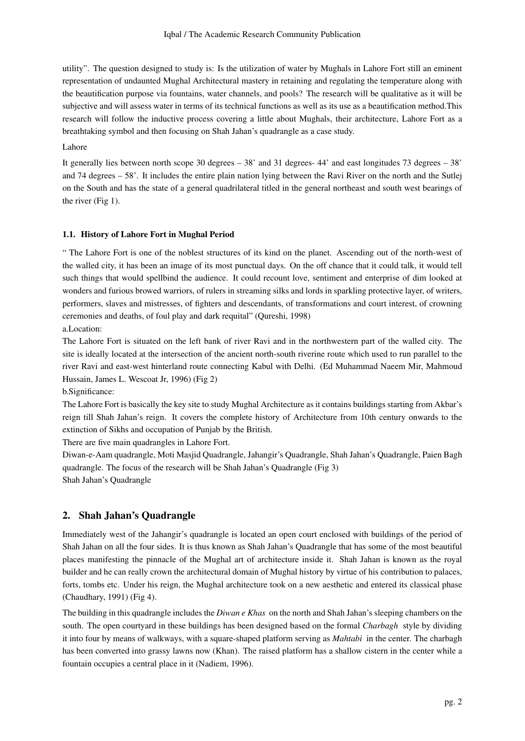utility". The question designed to study is: Is the utilization of water by Mughals in Lahore Fort still an eminent representation of undaunted Mughal Architectural mastery in retaining and regulating the temperature along with the beautification purpose via fountains, water channels, and pools? The research will be qualitative as it will be subjective and will assess water in terms of its technical functions as well as its use as a beautification method.This research will follow the inductive process covering a little about Mughals, their architecture, Lahore Fort as a breathtaking symbol and then focusing on Shah Jahan's quadrangle as a case study.

#### Lahore

It generally lies between north scope 30 degrees – 38' and 31 degrees- 44' and east longitudes 73 degrees – 38' and 74 degrees – 58'. It includes the entire plain nation lying between the Ravi River on the north and the Sutlej on the South and has the state of a general quadrilateral titled in the general northeast and south west bearings of the river (Fig 1).

#### 1.1. History of Lahore Fort in Mughal Period

" The Lahore Fort is one of the noblest structures of its kind on the planet. Ascending out of the north-west of the walled city, it has been an image of its most punctual days. On the off chance that it could talk, it would tell such things that would spellbind the audience. It could recount love, sentiment and enterprise of dim looked at wonders and furious browed warriors, of rulers in streaming silks and lords in sparkling protective layer, of writers, performers, slaves and mistresses, of fighters and descendants, of transformations and court interest, of crowning ceremonies and deaths, of foul play and dark requital" (Qureshi, 1998) a.Location:

The Lahore Fort is situated on the left bank of river Ravi and in the northwestern part of the walled city. The site is ideally located at the intersection of the ancient north-south riverine route which used to run parallel to the river Ravi and east-west hinterland route connecting Kabul with Delhi. (Ed Muhammad Naeem Mir, Mahmoud Hussain, James L. Wescoat Jr, 1996) (Fig 2)

b.Significance:

The Lahore Fort is basically the key site to study Mughal Architecture as it contains buildings starting from Akbar's reign till Shah Jahan's reign. It covers the complete history of Architecture from 10th century onwards to the extinction of Sikhs and occupation of Punjab by the British.

There are five main quadrangles in Lahore Fort.

Diwan-e-Aam quadrangle, Moti Masjid Quadrangle, Jahangir's Quadrangle, Shah Jahan's Quadrangle, Paien Bagh quadrangle. The focus of the research will be Shah Jahan's Quadrangle (Fig 3) Shah Jahan's Quadrangle

## 2. Shah Jahan's Quadrangle

Immediately west of the Jahangir's quadrangle is located an open court enclosed with buildings of the period of Shah Jahan on all the four sides. It is thus known as Shah Jahan's Quadrangle that has some of the most beautiful places manifesting the pinnacle of the Mughal art of architecture inside it. Shah Jahan is known as the royal builder and he can really crown the architectural domain of Mughal history by virtue of his contribution to palaces, forts, tombs etc. Under his reign, the Mughal architecture took on a new aesthetic and entered its classical phase (Chaudhary, 1991) (Fig 4).

The building in this quadrangle includes the *Diwan e Khas* on the north and Shah Jahan's sleeping chambers on the south. The open courtyard in these buildings has been designed based on the formal *Charbagh* style by dividing it into four by means of walkways, with a square-shaped platform serving as *Mahtabi* in the center. The charbagh has been converted into grassy lawns now (Khan). The raised platform has a shallow cistern in the center while a fountain occupies a central place in it (Nadiem, 1996).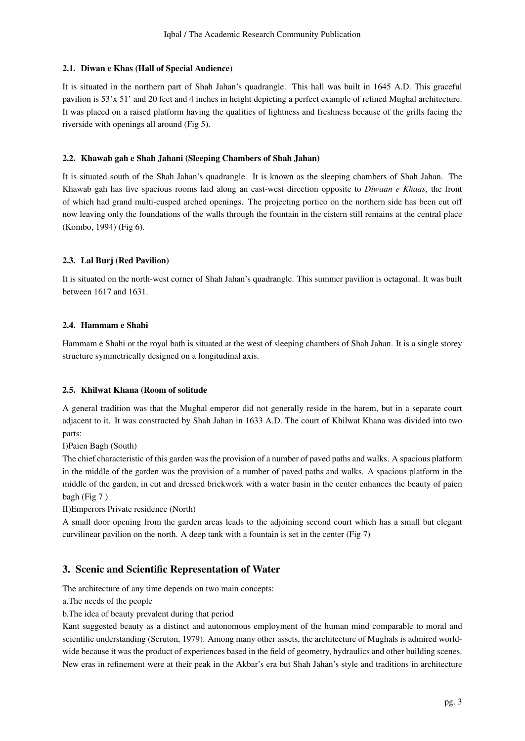#### 2.1. Diwan e Khas (Hall of Special Audience)

It is situated in the northern part of Shah Jahan's quadrangle. This hall was built in 1645 A.D. This graceful pavilion is 53'x 51' and 20 feet and 4 inches in height depicting a perfect example of refined Mughal architecture. It was placed on a raised platform having the qualities of lightness and freshness because of the grills facing the riverside with openings all around (Fig 5).

#### 2.2. Khawab gah e Shah Jahani (Sleeping Chambers of Shah Jahan)

It is situated south of the Shah Jahan's quadrangle. It is known as the sleeping chambers of Shah Jahan. The Khawab gah has five spacious rooms laid along an east-west direction opposite to *Diwaan e Khaas*, the front of which had grand multi-cusped arched openings. The projecting portico on the northern side has been cut off now leaving only the foundations of the walls through the fountain in the cistern still remains at the central place (Kombo, 1994) (Fig 6).

## 2.3. Lal Burj (Red Pavilion)

It is situated on the north-west corner of Shah Jahan's quadrangle. This summer pavilion is octagonal. It was built between 1617 and 1631.

#### 2.4. Hammam e Shahi

Hammam e Shahi or the royal bath is situated at the west of sleeping chambers of Shah Jahan. It is a single storey structure symmetrically designed on a longitudinal axis.

#### 2.5. Khilwat Khana (Room of solitude

A general tradition was that the Mughal emperor did not generally reside in the harem, but in a separate court adjacent to it. It was constructed by Shah Jahan in 1633 A.D. The court of Khilwat Khana was divided into two parts:

I)Paien Bagh (South)

The chief characteristic of this garden was the provision of a number of paved paths and walks. A spacious platform in the middle of the garden was the provision of a number of paved paths and walks. A spacious platform in the middle of the garden, in cut and dressed brickwork with a water basin in the center enhances the beauty of paien bagh (Fig 7 )

II)Emperors Private residence (North)

A small door opening from the garden areas leads to the adjoining second court which has a small but elegant curvilinear pavilion on the north. A deep tank with a fountain is set in the center (Fig 7)

# 3. Scenic and Scientific Representation of Water

The architecture of any time depends on two main concepts:

a.The needs of the people

b.The idea of beauty prevalent during that period

Kant suggested beauty as a distinct and autonomous employment of the human mind comparable to moral and scientific understanding (Scruton, 1979). Among many other assets, the architecture of Mughals is admired worldwide because it was the product of experiences based in the field of geometry, hydraulics and other building scenes. New eras in refinement were at their peak in the Akbar's era but Shah Jahan's style and traditions in architecture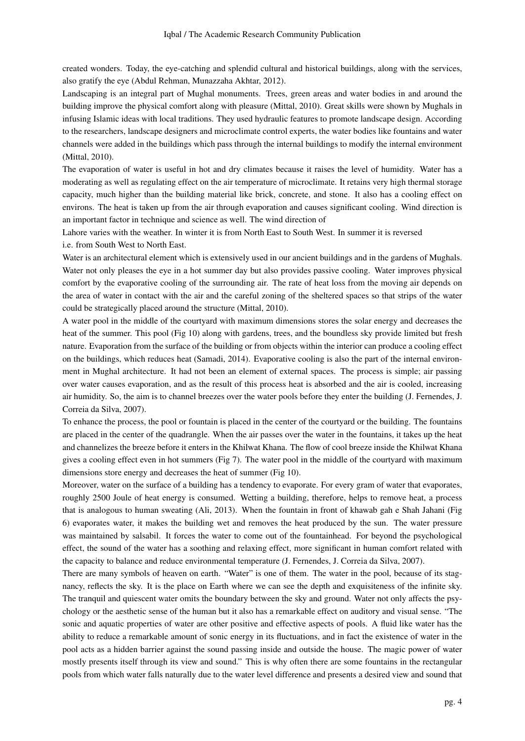created wonders. Today, the eye-catching and splendid cultural and historical buildings, along with the services, also gratify the eye (Abdul Rehman, Munazzaha Akhtar, 2012).

Landscaping is an integral part of Mughal monuments. Trees, green areas and water bodies in and around the building improve the physical comfort along with pleasure (Mittal, 2010). Great skills were shown by Mughals in infusing Islamic ideas with local traditions. They used hydraulic features to promote landscape design. According to the researchers, landscape designers and microclimate control experts, the water bodies like fountains and water channels were added in the buildings which pass through the internal buildings to modify the internal environment (Mittal, 2010).

The evaporation of water is useful in hot and dry climates because it raises the level of humidity. Water has a moderating as well as regulating effect on the air temperature of microclimate. It retains very high thermal storage capacity, much higher than the building material like brick, concrete, and stone. It also has a cooling effect on environs. The heat is taken up from the air through evaporation and causes significant cooling. Wind direction is an important factor in technique and science as well. The wind direction of

Lahore varies with the weather. In winter it is from North East to South West. In summer it is reversed i.e. from South West to North East.

Water is an architectural element which is extensively used in our ancient buildings and in the gardens of Mughals. Water not only pleases the eye in a hot summer day but also provides passive cooling. Water improves physical comfort by the evaporative cooling of the surrounding air. The rate of heat loss from the moving air depends on the area of water in contact with the air and the careful zoning of the sheltered spaces so that strips of the water could be strategically placed around the structure (Mittal, 2010).

A water pool in the middle of the courtyard with maximum dimensions stores the solar energy and decreases the heat of the summer. This pool (Fig 10) along with gardens, trees, and the boundless sky provide limited but fresh nature. Evaporation from the surface of the building or from objects within the interior can produce a cooling effect on the buildings, which reduces heat (Samadi, 2014). Evaporative cooling is also the part of the internal environment in Mughal architecture. It had not been an element of external spaces. The process is simple; air passing over water causes evaporation, and as the result of this process heat is absorbed and the air is cooled, increasing air humidity. So, the aim is to channel breezes over the water pools before they enter the building (J. Fernendes, J. Correia da Silva, 2007).

To enhance the process, the pool or fountain is placed in the center of the courtyard or the building. The fountains are placed in the center of the quadrangle. When the air passes over the water in the fountains, it takes up the heat and channelizes the breeze before it enters in the Khilwat Khana. The flow of cool breeze inside the Khilwat Khana gives a cooling effect even in hot summers (Fig 7). The water pool in the middle of the courtyard with maximum dimensions store energy and decreases the heat of summer (Fig 10).

Moreover, water on the surface of a building has a tendency to evaporate. For every gram of water that evaporates, roughly 2500 Joule of heat energy is consumed. Wetting a building, therefore, helps to remove heat, a process that is analogous to human sweating (Ali, 2013). When the fountain in front of khawab gah e Shah Jahani (Fig 6) evaporates water, it makes the building wet and removes the heat produced by the sun. The water pressure was maintained by salsabil. It forces the water to come out of the fountainhead. For beyond the psychological effect, the sound of the water has a soothing and relaxing effect, more significant in human comfort related with the capacity to balance and reduce environmental temperature (J. Fernendes, J. Correia da Silva, 2007).

There are many symbols of heaven on earth. "Water" is one of them. The water in the pool, because of its stagnancy, reflects the sky. It is the place on Earth where we can see the depth and exquisiteness of the infinite sky. The tranquil and quiescent water omits the boundary between the sky and ground. Water not only affects the psychology or the aesthetic sense of the human but it also has a remarkable effect on auditory and visual sense. "The sonic and aquatic properties of water are other positive and effective aspects of pools. A fluid like water has the ability to reduce a remarkable amount of sonic energy in its fluctuations, and in fact the existence of water in the pool acts as a hidden barrier against the sound passing inside and outside the house. The magic power of water mostly presents itself through its view and sound." This is why often there are some fountains in the rectangular pools from which water falls naturally due to the water level difference and presents a desired view and sound that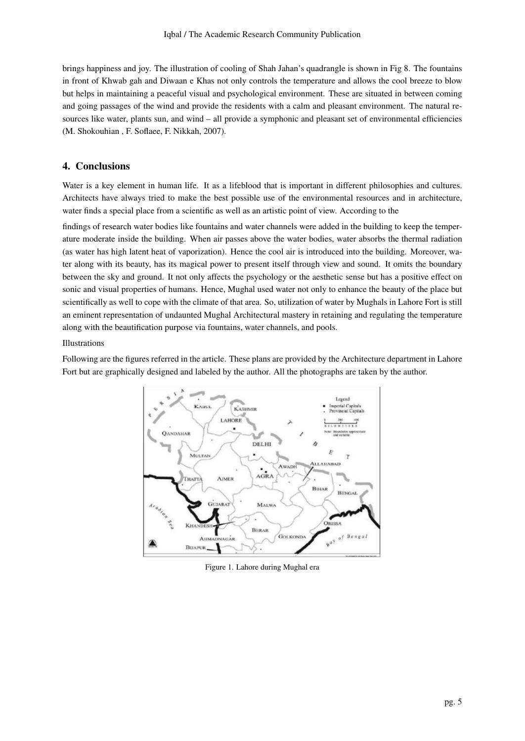brings happiness and joy. The illustration of cooling of Shah Jahan's quadrangle is shown in Fig 8. The fountains in front of Khwab gah and Diwaan e Khas not only controls the temperature and allows the cool breeze to blow but helps in maintaining a peaceful visual and psychological environment. These are situated in between coming and going passages of the wind and provide the residents with a calm and pleasant environment. The natural resources like water, plants sun, and wind – all provide a symphonic and pleasant set of environmental efficiencies (M. Shokouhian , F. Soflaee, F. Nikkah, 2007).

#### 4. Conclusions

Water is a key element in human life. It as a lifeblood that is important in different philosophies and cultures. Architects have always tried to make the best possible use of the environmental resources and in architecture, water finds a special place from a scientific as well as an artistic point of view. According to the

findings of research water bodies like fountains and water channels were added in the building to keep the temperature moderate inside the building. When air passes above the water bodies, water absorbs the thermal radiation (as water has high latent heat of vaporization). Hence the cool air is introduced into the building. Moreover, water along with its beauty, has its magical power to present itself through view and sound. It omits the boundary between the sky and ground. It not only affects the psychology or the aesthetic sense but has a positive effect on sonic and visual properties of humans. Hence, Mughal used water not only to enhance the beauty of the place but scientifically as well to cope with the climate of that area. So, utilization of water by Mughals in Lahore Fort is still an eminent representation of undaunted Mughal Architectural mastery in retaining and regulating the temperature along with the beautification purpose via fountains, water channels, and pools.

#### Illustrations

Following are the figures referred in the article. These plans are provided by the Architecture department in Lahore Fort but are graphically designed and labeled by the author. All the photographs are taken by the author.



Figure 1. Lahore during Mughal era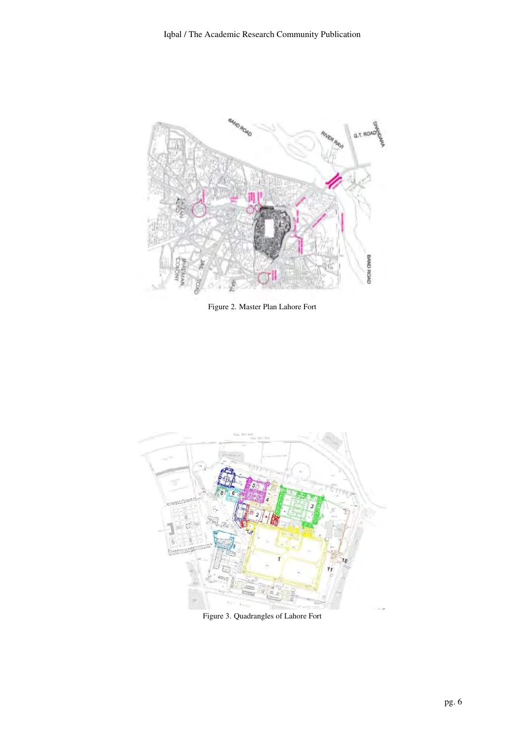

Figure 2. Master Plan Lahore Fort



Figure 3. Quadrangles of Lahore Fort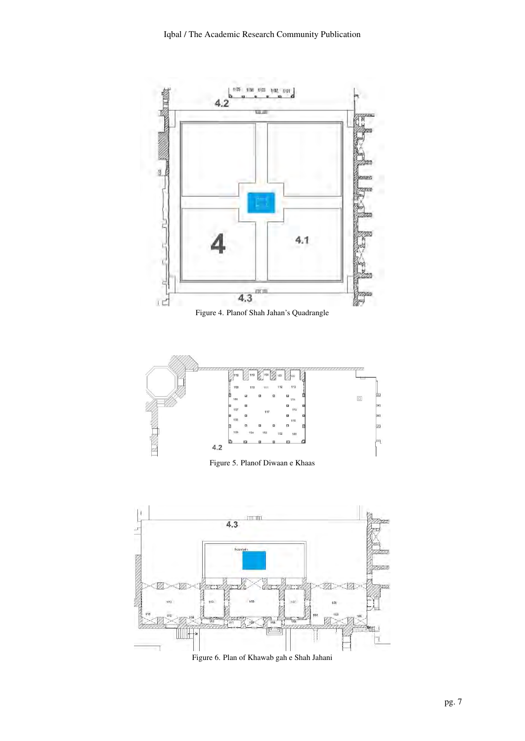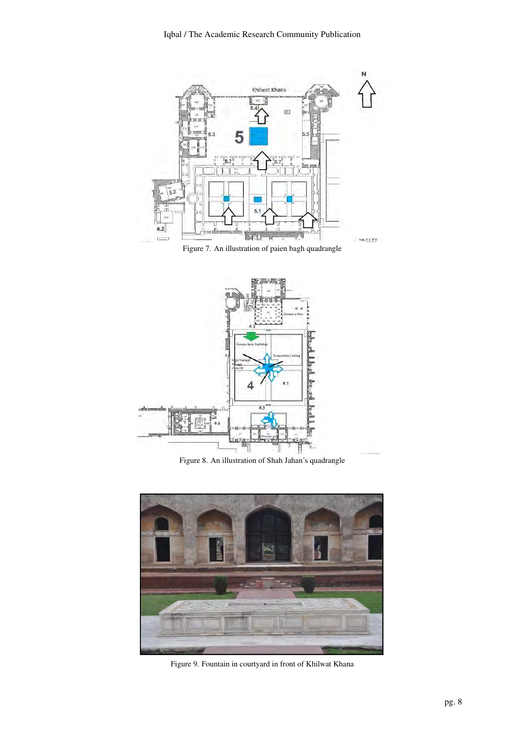Iqbal / The Academic Research Community Publication



Figure 7. An illustration of paien bagh quadrangle



Figure 8. An illustration of Shah Jahan's quadrangle



Figure 9. Fountain in courtyard in front of Khilwat Khana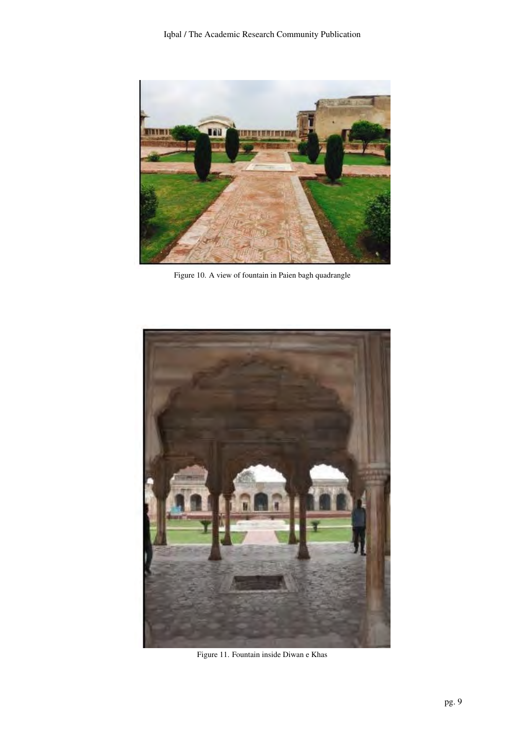

Figure 10. A view of fountain in Paien bagh quadrangle



Figure 11. Fountain inside Diwan e Khas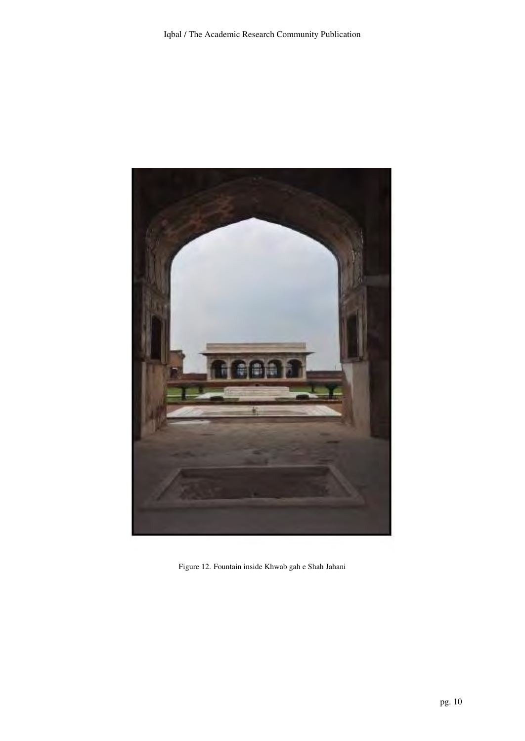

Figure 12. Fountain inside Khwab gah e Shah Jahani